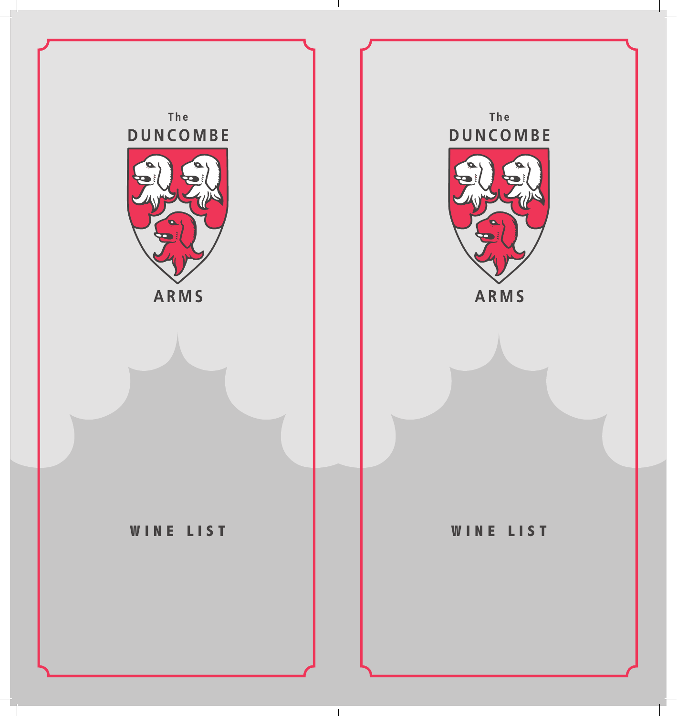